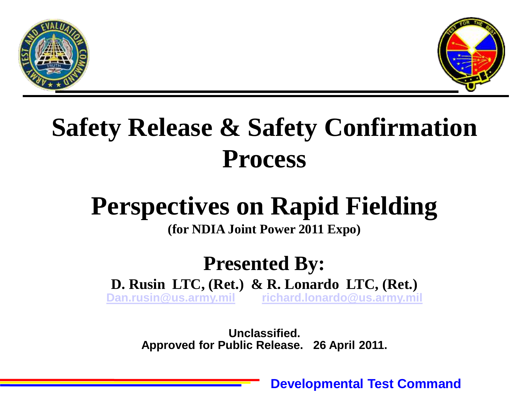



## **Safety Release & Safety Confirmation Process**

## **Perspectives on Rapid Fielding**

**(for NDIA Joint Power 2011 Expo)**

#### **Presented By: D. Rusin LTC, (Ret.) & R. Lonardo LTC, (Ret.)**

**[Dan.rusin@us.army.mil](mailto:Dan.rusin@us.army.mil) [richard.lonardo@us.army.mil](mailto:richard.lonardo@us.army.mil)**

**Unclassified. Approved for Public Release. 26 April 2011.**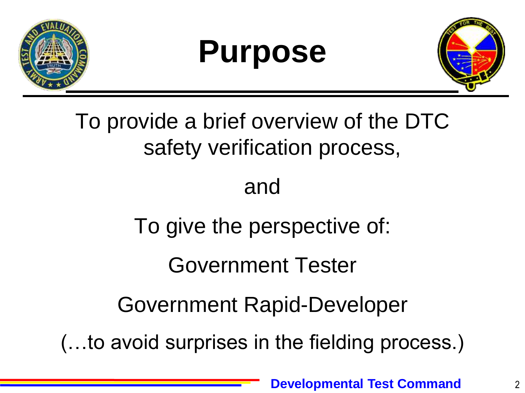

# **Purpose**



To provide a brief overview of the DTC safety verification process,

#### and

To give the perspective of:

Government Tester

Government Rapid-Developer

(…to avoid surprises in the fielding process.)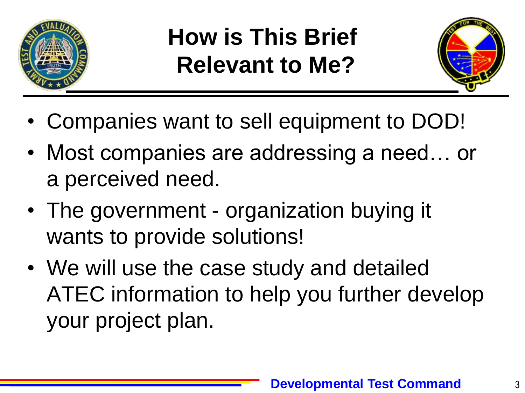

## **How is This Brief Relevant to Me?**



- Companies want to sell equipment to DOD!
- Most companies are addressing a need... or a perceived need.
- The government organization buying it wants to provide solutions!
- We will use the case study and detailed ATEC information to help you further develop your project plan.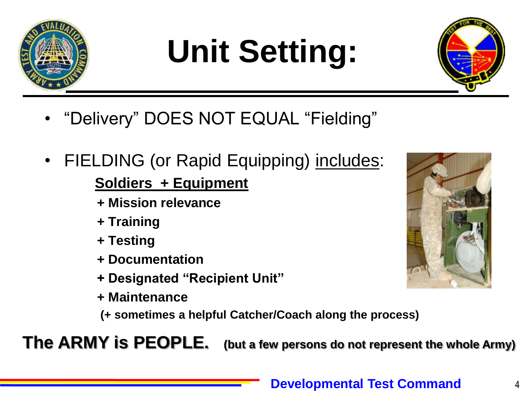

# **Unit Setting:**



- "Delivery" DOES NOT EQUAL "Fielding"
- FIELDING (or Rapid Equipping) includes:

#### **Soldiers + Equipment**

- **+ Mission relevance**
- **+ Training**
- **+ Testing**
- **+ Documentation**
- **+ Designated "Recipient Unit"**
- **+ Maintenance**

**(+ sometimes a helpful Catcher/Coach along the process)**

**The ARMY is PEOPLE. (but a few persons do not represent the whole Army)**

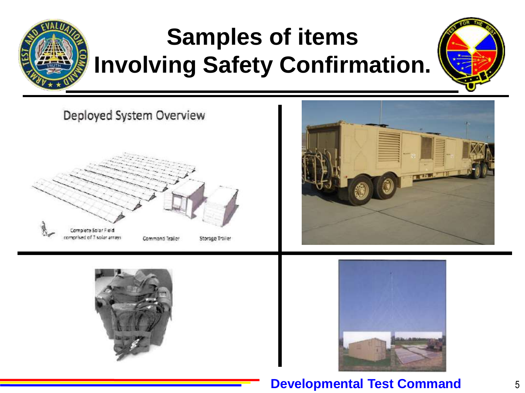

## **Samples of items Involving Safety Confirmation.**









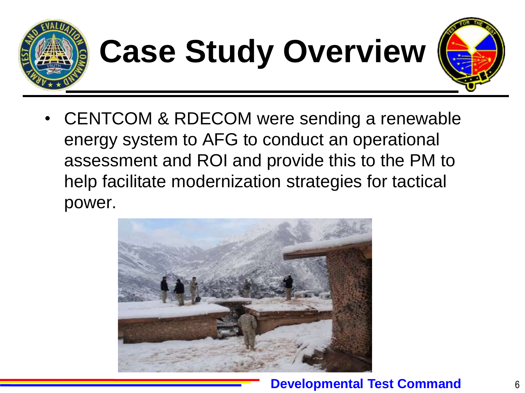

# **Case Study Overview**



• CENTCOM & RDECOM were sending a renewable energy system to AFG to conduct an operational assessment and ROI and provide this to the PM to help facilitate modernization strategies for tactical power.

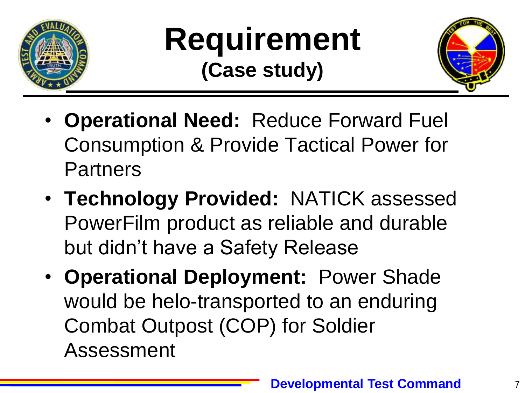

## **Requirement (Case study)**



7

- **Operational Need:** Reduce Forward Fuel Consumption & Provide Tactical Power for Partners
- **Technology Provided:** NATICK assessed PowerFilm product as reliable and durable but didn't have a Safety Release
- **Operational Deployment:** Power Shade would be helo-transported to an enduring Combat Outpost (COP) for Soldier Assessment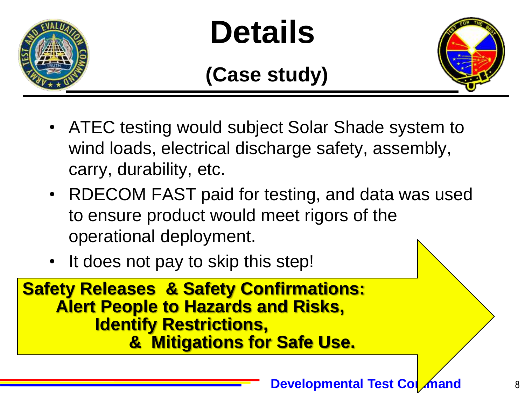

# **Details**

#### **(Case study)**



- ATEC testing would subject Solar Shade system to wind loads, electrical discharge safety, assembly, carry, durability, etc.
- RDECOM FAST paid for testing, and data was used to ensure product would meet rigors of the operational deployment.
- It does not pay to skip this step!

**Safety Releases & Safety Confirmations: Alert People to Hazards and Risks, Identify Restrictions, & Mitigations for Safe Use.**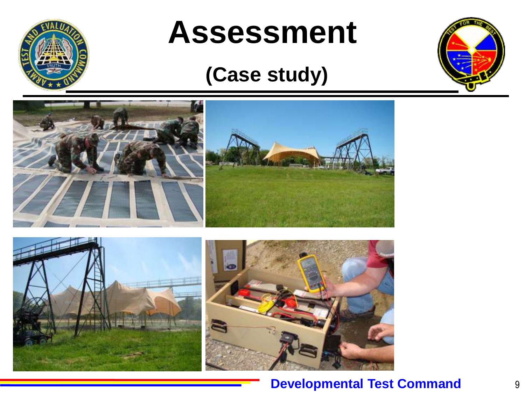

# **Assessment**

#### **(Case study)**





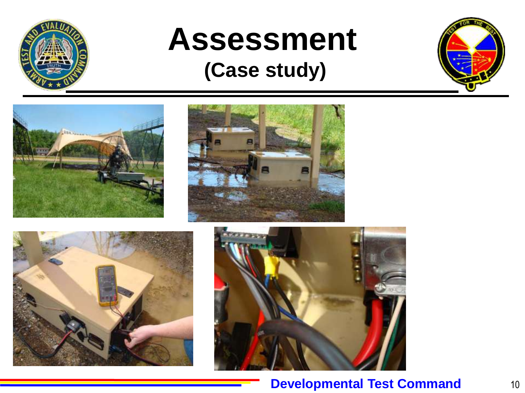

# **Assessment**

#### **(Case study)**









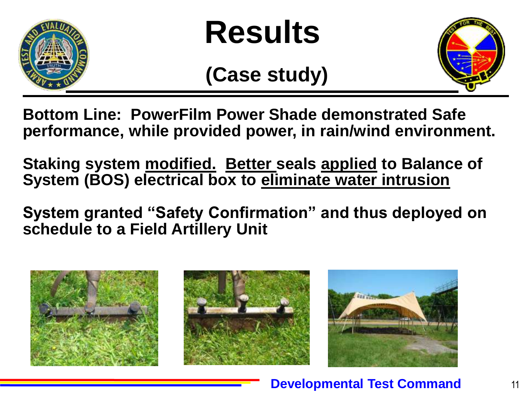

# **Results**

#### **(Case study)**



**Bottom Line: PowerFilm Power Shade demonstrated Safe performance, while provided power, in rain/wind environment.**

**Staking system modified. Better seals applied to Balance of System (BOS) electrical box to eliminate water intrusion**

**System granted "Safety Confirmation" and thus deployed on schedule to a Field Artillery Unit**





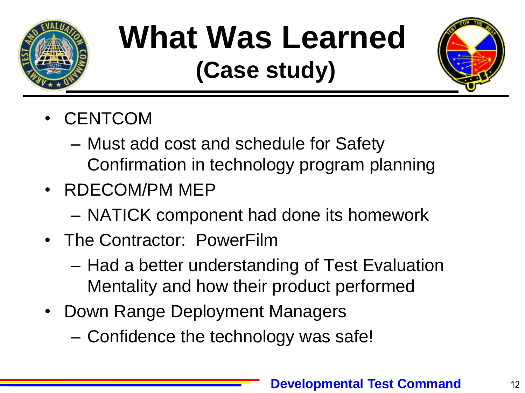

# **What Was Learned**

# **(Case study)**



- CENTCOM
	- Must add cost and schedule for Safety Confirmation in technology program planning
- RDECOM/PM MEP
	- NATICK component had done its homework
- The Contractor: PowerFilm
	- Had a better understanding of Test Evaluation Mentality and how their product performed
- Down Range Deployment Managers
	- Confidence the technology was safe!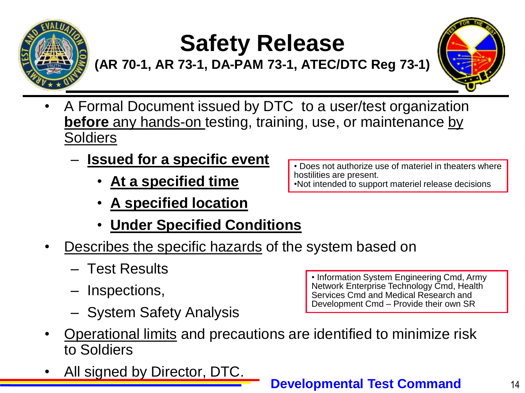

## **Safety Release**

**(AR 70-1, AR 73-1, DA-PAM 73-1, ATEC/DTC Reg 73-1)**



- A Formal Document issued by DTC to a user/test organization **before** any hands-on testing, training, use, or maintenance by Soldiers
	- **Issued for a specific event** 
		- **At a specified time**
		- **A specified location**
		- **Under Specified Conditions**
- Describes the specific hazards of the system based on
	- Test Results
	- Inspections,
	- System Safety Analysis

• Operational limits and precautions are identified to minimize risk to Soldiers

All signed by Director, DTC.

• Does not authorize use of materiel in theaters where hostilities are present. •Not intended to support materiel release decisions

• Information System Engineering Cmd, Army Network Enterprise Technology Cmd, Health Services Cmd and Medical Research and Development Cmd – Provide their own SR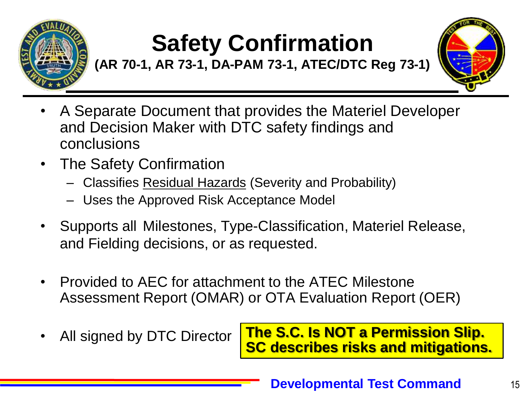

## **Safety Confirmation**

**(AR 70-1, AR 73-1, DA-PAM 73-1, ATEC/DTC Reg 73-1)**



- A Separate Document that provides the Materiel Developer and Decision Maker with DTC safety findings and conclusions
- The Safety Confirmation
	- Classifies Residual Hazards (Severity and Probability)
	- Uses the Approved Risk Acceptance Model
- Supports all Milestones, Type-Classification, Materiel Release, and Fielding decisions, or as requested.
- Provided to AEC for attachment to the ATEC Milestone Assessment Report (OMAR) or OTA Evaluation Report (OER)
- All signed by DTC Director

**The S.C. Is NOT a Permission Slip. SC describes risks and mitigations.**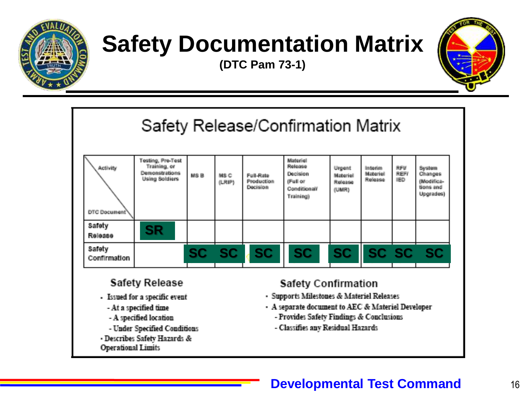

## **Safety Documentation Matrix**

**(DTC Pam 73-1)**



Safety Release/Confirmation Matrix Testing, Pre-Test Materiel Training, or Release. **Activity** REV **Urgent** Interim. System Demonstrations **Decision Materiel** REFI Changes MSB MS<sub>C</sub> Full-Rate Materiel **Using Soldiers** Release **IED Production** (Full or (Modifica-(LRIP) **Release Decision** tions and Conditionali (UMR) Upgrades) Training) DTC Document Safety **SR Release** Satety **SC SC SC SC SC SC SC SCConfirmation Safety Release Safety Confirmation** · Supports Milestones & Materiel Releases - Issued for a specific event - A separate document to AEC & Materiel Developer - At a specified time - A specified location - Provides Safety Findings & Conclusions - Under Specified Conditions - Classifies any Residual Hazards · Describes Safety Hazards & **Operational Limits**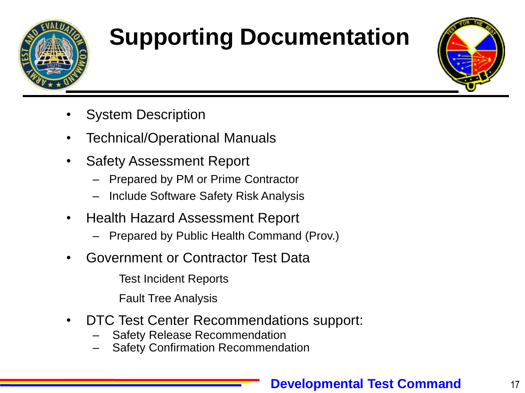

# **Supporting Documentation**



- System Description
- Technical/Operational Manuals
- Safety Assessment Report
	- Prepared by PM or Prime Contractor
	- Include Software Safety Risk Analysis
- Health Hazard Assessment Report
	- Prepared by Public Health Command (Prov.)
- Government or Contractor Test Data

Test Incident Reports

Fault Tree Analysis

- DTC Test Center Recommendations support:
	- Safety Release Recommendation
	- Safety Confirmation Recommendation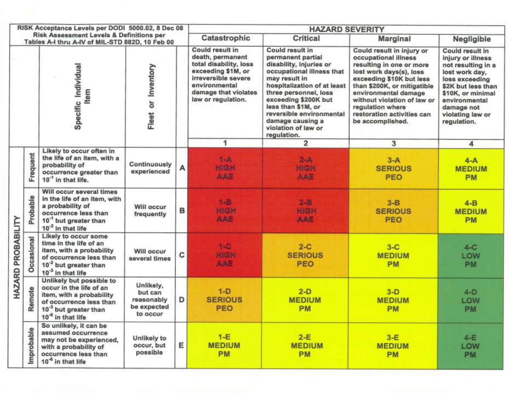| RISK Acceptance Levels per DODI 5000.02, 8 Dec 08                                           |                   |                                                                                                                                                                                  |                                                               |   | <b>HAZARD SEVERITY</b>                                                                                                                                                    |                                                                                                                                                                                                                                                                                                           |                                                                                                                                                                                                                                                                                                  |                                                                                                                                                                                                             |
|---------------------------------------------------------------------------------------------|-------------------|----------------------------------------------------------------------------------------------------------------------------------------------------------------------------------|---------------------------------------------------------------|---|---------------------------------------------------------------------------------------------------------------------------------------------------------------------------|-----------------------------------------------------------------------------------------------------------------------------------------------------------------------------------------------------------------------------------------------------------------------------------------------------------|--------------------------------------------------------------------------------------------------------------------------------------------------------------------------------------------------------------------------------------------------------------------------------------------------|-------------------------------------------------------------------------------------------------------------------------------------------------------------------------------------------------------------|
| Risk Assessment Levels & Definitions per<br>Tables A-I thru A-IV of MIL-STD 882D, 10 Feb 00 |                   |                                                                                                                                                                                  |                                                               |   | Catastrophic                                                                                                                                                              | Critical                                                                                                                                                                                                                                                                                                  | Marginal                                                                                                                                                                                                                                                                                         | Negligible                                                                                                                                                                                                  |
|                                                                                             |                   | Specific Individual<br>tem                                                                                                                                                       | Fleet or Inventory                                            |   | Could result in<br>death, permanent<br>total disability, loss<br>exceeding \$1M, or<br>irreversible severe<br>environmental<br>damage that violates<br>law or regulation. | Could result in<br>permanent partial<br>disability, injuries or<br>occupational illness that<br>may result in<br>hospitalization of at least<br>three personnel, loss<br>exceeding \$200K but<br>less than \$1M, or<br>reversible environmental<br>damage causing a<br>violation of law or<br>regulation. | Could result in injury or<br>occupational illness<br>resulting in one or more<br>lost work days(s), loss<br>exceeding \$10K but less<br>than \$200K, or mitigatible<br>environmental damage<br>without violation of law or<br>regulation where<br>restoration activities can<br>be accomplished. | Could result in<br>injury or illness<br>not resulting in a<br>lost work day,<br>loss exceeding<br>\$2K but less than<br>\$10K, or minimal<br>environmental<br>damage not<br>violating law or<br>regulation. |
|                                                                                             |                   | Likely to occur often in                                                                                                                                                         |                                                               |   | 1                                                                                                                                                                         | $\overline{2}$                                                                                                                                                                                                                                                                                            | 3                                                                                                                                                                                                                                                                                                | 4                                                                                                                                                                                                           |
| HAZARD PROBABILITY                                                                          | Frequent          | the life of an item, with a<br>probability of<br>occurrence greater than<br>10 <sup>-1</sup> in that life.                                                                       | Continuously<br>experienced                                   | А | $1-A$<br>HIGH<br>AAE                                                                                                                                                      | $2 - A$<br><b>HIGH</b><br>AAE                                                                                                                                                                                                                                                                             | $3-A$<br><b>SERIOUS</b><br>PEO                                                                                                                                                                                                                                                                   | $4-A$<br><b>MEDIUM</b><br>PM                                                                                                                                                                                |
|                                                                                             | Probable          | Will occur several times<br>in the life of an item, with<br>a probability of<br>occurrence less than<br>10 <sup>-1</sup> but greater than<br>$10^{-2}$ in that life              | Will occur<br>frequently                                      | в | 1-8<br>HIGH<br>AAE                                                                                                                                                        | $2 - 8$<br>HIGH<br>AAE                                                                                                                                                                                                                                                                                    | $3 - B$<br><b>SERIOUS</b><br>PEO                                                                                                                                                                                                                                                                 | $4-B$<br><b>MEDIUM</b><br>PM                                                                                                                                                                                |
|                                                                                             | <b>Occasional</b> | Likely to occur some<br>time in the life of an<br>item, with a probability<br>of occurrence less than<br>10 <sup>-2</sup> but greater than<br>$10-3$ in that life                | Will occur<br>several times                                   | c | $1 - C$<br>HIGH<br><b>AAE</b>                                                                                                                                             | $2-C$<br><b>SERIOUS</b><br><b>PEO</b>                                                                                                                                                                                                                                                                     | $3-C$<br><b>MEDIUM</b><br>PM                                                                                                                                                                                                                                                                     | $4-C$<br>LOW<br>PM                                                                                                                                                                                          |
|                                                                                             | Remote            | Unlikely but possible to<br>occur in the life of an<br>item, with a probability<br>of occurrence less than<br>10 <sup>-3</sup> but greater than<br>10 <sup>-6</sup> in that life | Unlikely,<br>but can<br>reasonably<br>be expected<br>to occur | D | $1-D$<br><b>SERIOUS</b><br>PEO                                                                                                                                            | $2-D$<br><b>MEDIUM</b><br><b>PM</b>                                                                                                                                                                                                                                                                       | $3-D$<br><b>MEDIUM</b><br>PM                                                                                                                                                                                                                                                                     | $4-D$<br>LOW<br><b>PM</b>                                                                                                                                                                                   |
|                                                                                             | Improbable        | So unlikely, it can be<br>assumed occurrence<br>may not be experienced,<br>with a probability of<br>occurrence less than<br>10 <sup>-6</sup> in that life                        | Unlikely to<br>occur, but<br>possible                         | E | $1-E$<br><b>MEDIUM</b><br><b>PM</b>                                                                                                                                       | $2-E$<br><b>MEDIUM</b><br>PM                                                                                                                                                                                                                                                                              | $3-E$<br><b>MEDIUM</b><br>PM                                                                                                                                                                                                                                                                     | $4-E$<br>LOW<br>PM                                                                                                                                                                                          |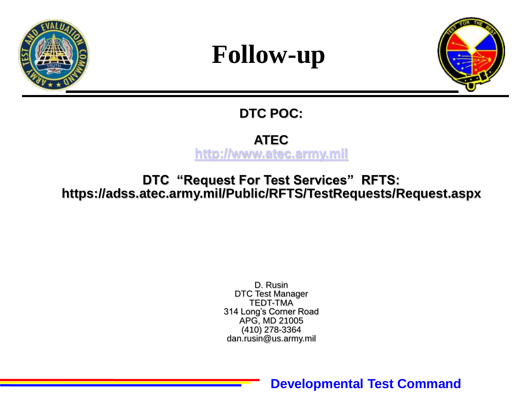

#### **Follow-up**



#### **DTC POC:**

#### **ATEC [http://www.atec.army.mil](http://www.atec.army.mil/)**

**DTC "Request For Test Services" RFTS: https://adss.atec.army.mil/Public/RFTS/TestRequests/Request.aspx**

> D. Rusin DTC Test Manager TEDT-TMA 314 Long's Corner Road APG, MD 21005 (410) 278-3364 dan.rusin@us.army.mil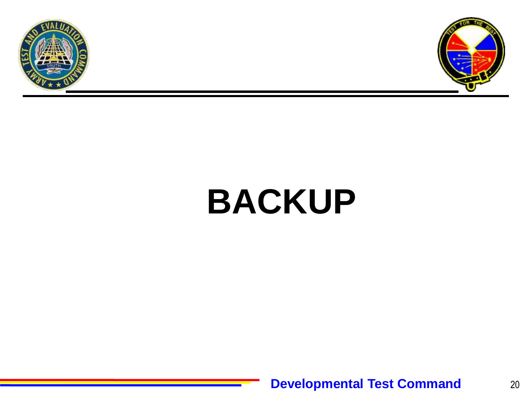



# **BACKUP**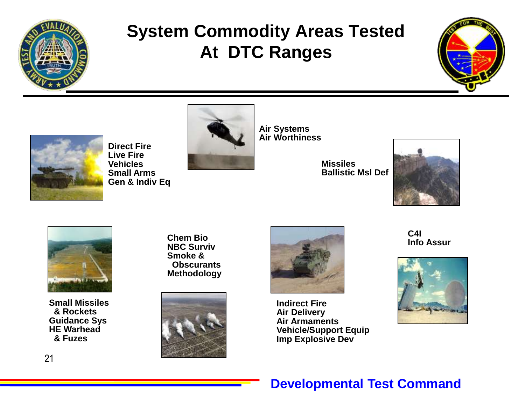

#### **System Commodity Areas Tested At DTC Ranges**





**Direct Fire Live Fire Vehicles Small Arms Gen & Indiv Eq**



**Air Systems Air Worthiness**

**Missiles Ballistic Msl Def**





**Small Missiles & Rockets Guidance Sys HE Warhead & Fuzes**

**Chem Bio NBC Surviv Smoke & Obscurants Methodology**





**Indirect Fire Air Delivery Air Armaments Vehicle/Support Equip Imp Explosive Dev**

**C4I Info Assur**

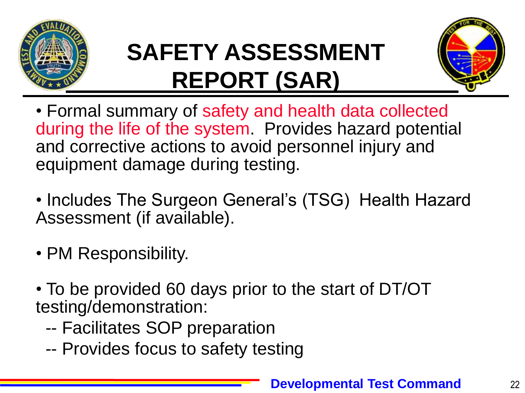

## **SAFETY ASSESSMENT REPORT (SAR)**



- Formal summary of safety and health data collected during the life of the system. Provides hazard potential and corrective actions to avoid personnel injury and equipment damage during testing.
- Includes The Surgeon General's (TSG) Health Hazard Assessment (if available).
- PM Responsibility.
- To be provided 60 days prior to the start of DT/OT testing/demonstration:
	- -- Facilitates SOP preparation
	- -- Provides focus to safety testing